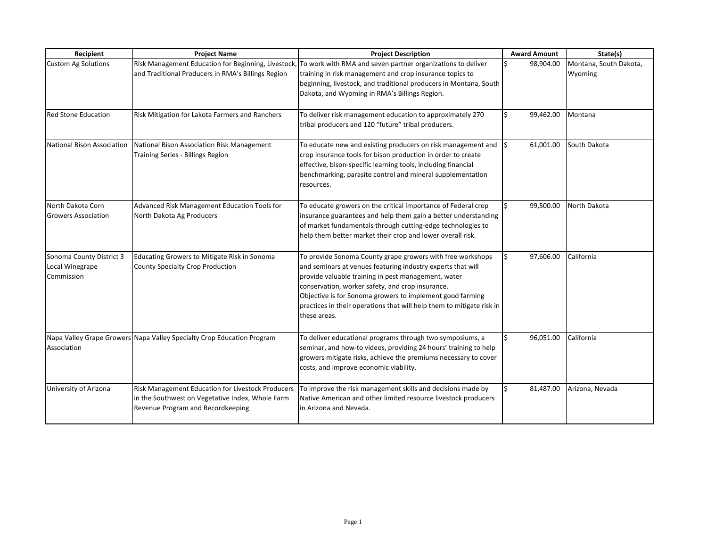| Recipient                                                 | <b>Project Name</b>                                                                                                                        | <b>Project Description</b>                                                                                                                                                                                                                                                                                                                                                                 | <b>Award Amount</b> | State(s)                          |
|-----------------------------------------------------------|--------------------------------------------------------------------------------------------------------------------------------------------|--------------------------------------------------------------------------------------------------------------------------------------------------------------------------------------------------------------------------------------------------------------------------------------------------------------------------------------------------------------------------------------------|---------------------|-----------------------------------|
| <b>Custom Ag Solutions</b>                                | Risk Management Education for Beginning, Livestock,<br>and Traditional Producers in RMA's Billings Region                                  | To work with RMA and seven partner organizations to deliver<br>training in risk management and crop insurance topics to<br>beginning, livestock, and traditional producers in Montana, South<br>Dakota, and Wyoming in RMA's Billings Region.                                                                                                                                              | 98,904.00           | Montana, South Dakota,<br>Wyoming |
| <b>Red Stone Education</b>                                | Risk Mitigation for Lakota Farmers and Ranchers                                                                                            | To deliver risk management education to approximately 270<br>tribal producers and 120 "future" tribal producers.                                                                                                                                                                                                                                                                           | 99,462.00           | Montana                           |
| <b>National Bison Association</b>                         | National Bison Association Risk Management<br>Training Series - Billings Region                                                            | To educate new and existing producers on risk management and<br>crop insurance tools for bison production in order to create<br>effective, bison-specific learning tools, including financial<br>benchmarking, parasite control and mineral supplementation<br>resources.                                                                                                                  | 61,001.00           | South Dakota                      |
| North Dakota Corn<br><b>Growers Association</b>           | Advanced Risk Management Education Tools for<br>North Dakota Ag Producers                                                                  | To educate growers on the critical importance of Federal crop<br>insurance guarantees and help them gain a better understanding<br>of market fundamentals through cutting-edge technologies to<br>help them better market their crop and lower overall risk.                                                                                                                               | 99,500.00           | North Dakota                      |
| Sonoma County District 3<br>Local Winegrape<br>Commission | Educating Growers to Mitigate Risk in Sonoma<br>County Specialty Crop Production                                                           | To provide Sonoma County grape growers with free workshops<br>and seminars at venues featuring industry experts that will<br>provide valuable training in pest management, water<br>conservation, worker safety, and crop insurance.<br>Objective is for Sonoma growers to implement good farming<br>practices in their operations that will help them to mitigate risk in<br>these areas. | 97,606.00           | California                        |
| Association                                               | Napa Valley Grape Growers Napa Valley Specialty Crop Education Program                                                                     | To deliver educational programs through two symposiums, a<br>seminar, and how-to videos, providing 24 hours' training to help<br>growers mitigate risks, achieve the premiums necessary to cover<br>costs, and improve economic viability.                                                                                                                                                 | 96,051.00           | California                        |
| University of Arizona                                     | Risk Management Education for Livestock Producers<br>in the Southwest on Vegetative Index, Whole Farm<br>Revenue Program and Recordkeeping | To improve the risk management skills and decisions made by<br>Native American and other limited resource livestock producers<br>in Arizona and Nevada.                                                                                                                                                                                                                                    | 81,487.00           | Arizona, Nevada                   |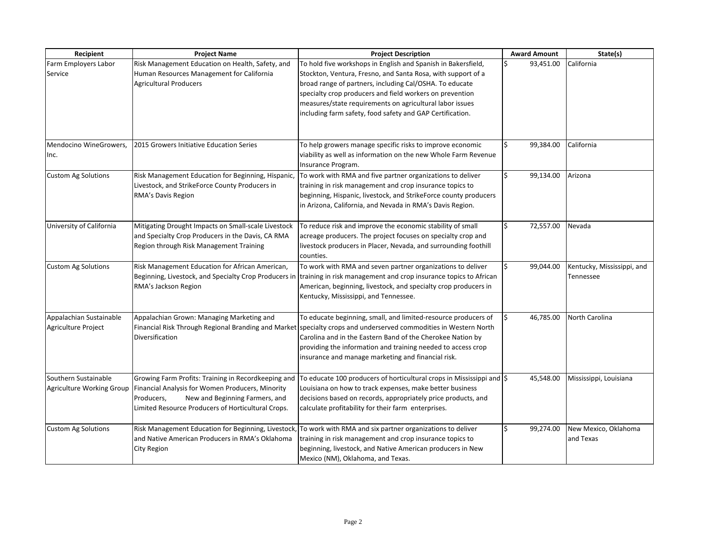| Recipient                  | <b>Project Name</b>                                   | <b>Project Description</b>                                                                                       | <b>Award Amount</b> | State(s)                   |
|----------------------------|-------------------------------------------------------|------------------------------------------------------------------------------------------------------------------|---------------------|----------------------------|
| Farm Employers Labor       | Risk Management Education on Health, Safety, and      | To hold five workshops in English and Spanish in Bakersfield,                                                    | 93,451.00           | California                 |
| Service                    | Human Resources Management for California             | Stockton, Ventura, Fresno, and Santa Rosa, with support of a                                                     |                     |                            |
|                            | <b>Agricultural Producers</b>                         | broad range of partners, including Cal/OSHA. To educate                                                          |                     |                            |
|                            |                                                       | specialty crop producers and field workers on prevention                                                         |                     |                            |
|                            |                                                       | measures/state requirements on agricultural labor issues                                                         |                     |                            |
|                            |                                                       | including farm safety, food safety and GAP Certification.                                                        |                     |                            |
|                            |                                                       |                                                                                                                  |                     |                            |
|                            |                                                       |                                                                                                                  |                     |                            |
| Mendocino WineGrowers,     | 2015 Growers Initiative Education Series              | To help growers manage specific risks to improve economic                                                        | 99,384.00           | California                 |
| Inc.                       |                                                       | viability as well as information on the new Whole Farm Revenue                                                   |                     |                            |
|                            |                                                       | Insurance Program.                                                                                               |                     |                            |
| <b>Custom Ag Solutions</b> | Risk Management Education for Beginning, Hispanic,    | To work with RMA and five partner organizations to deliver                                                       | 99,134.00           | Arizona                    |
|                            | Livestock, and StrikeForce County Producers in        | training in risk management and crop insurance topics to                                                         |                     |                            |
|                            | RMA's Davis Region                                    | beginning, Hispanic, livestock, and StrikeForce county producers                                                 |                     |                            |
|                            |                                                       | in Arizona, California, and Nevada in RMA's Davis Region.                                                        |                     |                            |
| University of California   | Mitigating Drought Impacts on Small-scale Livestock   | To reduce risk and improve the economic stability of small                                                       | 72,557.00           | Nevada                     |
|                            | and Specialty Crop Producers in the Davis, CA RMA     | acreage producers. The project focuses on specialty crop and                                                     |                     |                            |
|                            | Region through Risk Management Training               | livestock producers in Placer, Nevada, and surrounding foothill                                                  |                     |                            |
|                            |                                                       | counties.                                                                                                        |                     |                            |
| <b>Custom Ag Solutions</b> | Risk Management Education for African American,       | To work with RMA and seven partner organizations to deliver                                                      | 99,044.00           | Kentucky, Mississippi, and |
|                            | Beginning, Livestock, and Specialty Crop Producers in | training in risk management and crop insurance topics to African                                                 |                     | Tennessee                  |
|                            | RMA's Jackson Region                                  | American, beginning, livestock, and specialty crop producers in                                                  |                     |                            |
|                            |                                                       | Kentucky, Mississippi, and Tennessee.                                                                            |                     |                            |
| Appalachian Sustainable    | Appalachian Grown: Managing Marketing and             | To educate beginning, small, and limited-resource producers of                                                   | 46,785.00           | North Carolina             |
| Agriculture Project        |                                                       | Financial Risk Through Regional Branding and Market specialty crops and underserved commodities in Western North |                     |                            |
|                            | Diversification                                       | Carolina and in the Eastern Band of the Cherokee Nation by                                                       |                     |                            |
|                            |                                                       | providing the information and training needed to access crop                                                     |                     |                            |
|                            |                                                       | insurance and manage marketing and financial risk.                                                               |                     |                            |
|                            |                                                       |                                                                                                                  |                     |                            |
| Southern Sustainable       | Growing Farm Profits: Training in Recordkeeping and   | To educate 100 producers of horticultural crops in Mississippi and \\$                                           | 45,548.00           | Mississippi, Louisiana     |
| Agriculture Working Group  | Financial Analysis for Women Producers, Minority      | Louisiana on how to track expenses, make better business                                                         |                     |                            |
|                            | Producers,<br>New and Beginning Farmers, and          | decisions based on records, appropriately price products, and                                                    |                     |                            |
|                            | Limited Resource Producers of Horticultural Crops.    | calculate profitability for their farm enterprises.                                                              |                     |                            |
| <b>Custom Ag Solutions</b> | Risk Management Education for Beginning, Livestock,   | To work with RMA and six partner organizations to deliver                                                        | 99,274.00           | New Mexico, Oklahoma       |
|                            | and Native American Producers in RMA's Oklahoma       | training in risk management and crop insurance topics to                                                         |                     | and Texas                  |
|                            | City Region                                           | beginning, livestock, and Native American producers in New                                                       |                     |                            |
|                            |                                                       | Mexico (NM), Oklahoma, and Texas.                                                                                |                     |                            |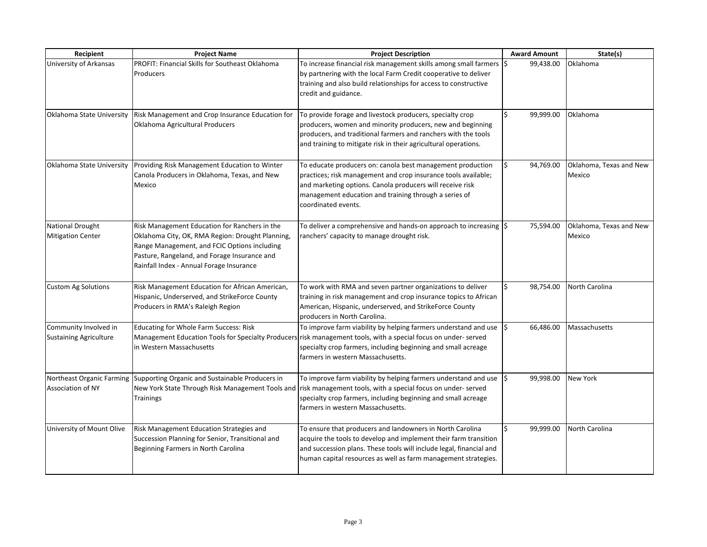| Recipient                                              | <b>Project Name</b>                                                                                                                                                                                                                           | <b>Project Description</b>                                                                                                                                                                                                                                                              | <b>Award Amount</b> | State(s)                          |
|--------------------------------------------------------|-----------------------------------------------------------------------------------------------------------------------------------------------------------------------------------------------------------------------------------------------|-----------------------------------------------------------------------------------------------------------------------------------------------------------------------------------------------------------------------------------------------------------------------------------------|---------------------|-----------------------------------|
| University of Arkansas                                 | <b>PROFIT: Financial Skills for Southeast Oklahoma</b><br>Producers                                                                                                                                                                           | To increase financial risk management skills among small farmers \\$<br>by partnering with the local Farm Credit cooperative to deliver<br>training and also build relationships for access to constructive<br>credit and guidance.                                                     | 99,438.00           | Oklahoma                          |
| Oklahoma State University                              | Risk Management and Crop Insurance Education for<br>Oklahoma Agricultural Producers                                                                                                                                                           | To provide forage and livestock producers, specialty crop<br>producers, women and minority producers, new and beginning<br>producers, and traditional farmers and ranchers with the tools<br>and training to mitigate risk in their agricultural operations.                            | 99,999.00           | Oklahoma                          |
|                                                        | Oklahoma State University   Providing Risk Management Education to Winter<br>Canola Producers in Oklahoma, Texas, and New<br>Mexico                                                                                                           | To educate producers on: canola best management production<br>practices; risk management and crop insurance tools available;<br>and marketing options. Canola producers will receive risk<br>management education and training through a series of<br>coordinated events.               | 94,769.00           | Oklahoma, Texas and New<br>Mexico |
| <b>National Drought</b><br><b>Mitigation Center</b>    | Risk Management Education for Ranchers in the<br>Oklahoma City, OK, RMA Region: Drought Planning,<br>Range Management, and FCIC Options including<br>Pasture, Rangeland, and Forage Insurance and<br>Rainfall Index - Annual Forage Insurance | To deliver a comprehensive and hands-on approach to increasing $ \xi $<br>ranchers' capacity to manage drought risk.                                                                                                                                                                    | 75,594.00           | Oklahoma, Texas and New<br>Mexico |
| <b>Custom Ag Solutions</b>                             | Risk Management Education for African American,<br>Hispanic, Underserved, and StrikeForce County<br>Producers in RMA's Raleigh Region                                                                                                         | To work with RMA and seven partner organizations to deliver<br>training in risk management and crop insurance topics to African<br>American, Hispanic, underserved, and StrikeForce County<br>producers in North Carolina.                                                              | 98,754.00           | North Carolina                    |
| Community Involved in<br><b>Sustaining Agriculture</b> | <b>Educating for Whole Farm Success: Risk</b><br>in Western Massachusetts                                                                                                                                                                     | To improve farm viability by helping farmers understand and use<br>Management Education Tools for Specialty Producers risk management tools, with a special focus on under-served<br>specialty crop farmers, including beginning and small acreage<br>farmers in western Massachusetts. | 66,486.00           | Massachusetts                     |
| Association of NY                                      | Northeast Organic Farming Supporting Organic and Sustainable Producers in<br>New York State Through Risk Management Tools and<br><b>Trainings</b>                                                                                             | To improve farm viability by helping farmers understand and use<br>risk management tools, with a special focus on under-served<br>specialty crop farmers, including beginning and small acreage<br>farmers in western Massachusetts.                                                    | 99,998.00           | <b>New York</b>                   |
| University of Mount Olive                              | Risk Management Education Strategies and<br>Succession Planning for Senior, Transitional and<br>Beginning Farmers in North Carolina                                                                                                           | To ensure that producers and landowners in North Carolina<br>acquire the tools to develop and implement their farm transition<br>and succession plans. These tools will include legal, financial and<br>human capital resources as well as farm management strategies.                  | 99,999.00           | North Carolina                    |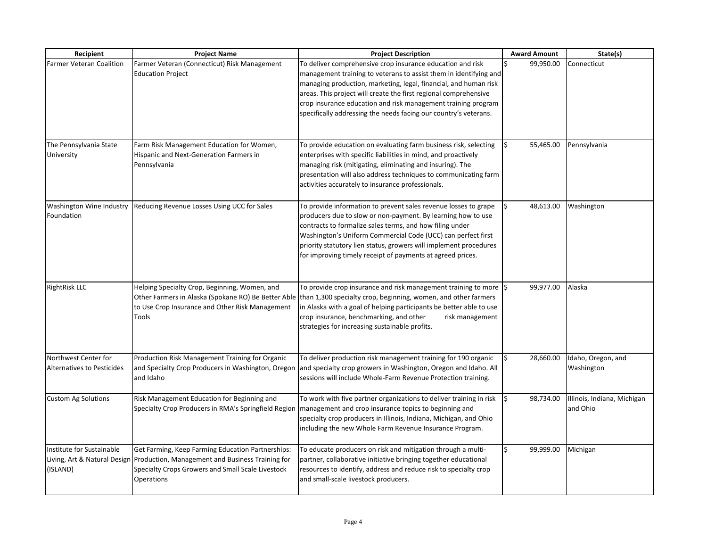| Recipient                            | <b>Project Name</b>                                                                  | <b>Project Description</b>                                                                                                                                                             | <b>Award Amount</b> | State(s)                    |
|--------------------------------------|--------------------------------------------------------------------------------------|----------------------------------------------------------------------------------------------------------------------------------------------------------------------------------------|---------------------|-----------------------------|
| <b>Farmer Veteran Coalition</b>      | Farmer Veteran (Connecticut) Risk Management                                         | To deliver comprehensive crop insurance education and risk                                                                                                                             | 99,950.00           | Connecticut                 |
|                                      | <b>Education Project</b>                                                             | management training to veterans to assist them in identifying and                                                                                                                      |                     |                             |
|                                      |                                                                                      | managing production, marketing, legal, financial, and human risk<br>areas. This project will create the first regional comprehensive                                                   |                     |                             |
|                                      |                                                                                      | crop insurance education and risk management training program                                                                                                                          |                     |                             |
|                                      |                                                                                      | specifically addressing the needs facing our country's veterans.                                                                                                                       |                     |                             |
|                                      |                                                                                      |                                                                                                                                                                                        |                     |                             |
|                                      |                                                                                      |                                                                                                                                                                                        |                     |                             |
| The Pennsylvania State<br>University | Farm Risk Management Education for Women,<br>Hispanic and Next-Generation Farmers in | To provide education on evaluating farm business risk, selecting<br>enterprises with specific liabilities in mind, and proactively                                                     | 55,465.00           | Pennsylvania                |
|                                      | Pennsylvania                                                                         | managing risk (mitigating, eliminating and insuring). The                                                                                                                              |                     |                             |
|                                      |                                                                                      | presentation will also address techniques to communicating farm                                                                                                                        |                     |                             |
|                                      |                                                                                      | activities accurately to insurance professionals.                                                                                                                                      |                     |                             |
|                                      |                                                                                      |                                                                                                                                                                                        |                     |                             |
| Foundation                           | Washington Wine Industry   Reducing Revenue Losses Using UCC for Sales               | To provide information to prevent sales revenue losses to grape                                                                                                                        | 48,613.00           | Washington                  |
|                                      |                                                                                      | producers due to slow or non-payment. By learning how to use<br>contracts to formalize sales terms, and how filing under                                                               |                     |                             |
|                                      |                                                                                      | Washington's Uniform Commercial Code (UCC) can perfect first                                                                                                                           |                     |                             |
|                                      |                                                                                      | priority statutory lien status, growers will implement procedures                                                                                                                      |                     |                             |
|                                      |                                                                                      | for improving timely receipt of payments at agreed prices.                                                                                                                             |                     |                             |
|                                      |                                                                                      |                                                                                                                                                                                        |                     |                             |
|                                      |                                                                                      |                                                                                                                                                                                        |                     |                             |
| <b>RightRisk LLC</b>                 | Helping Specialty Crop, Beginning, Women, and                                        | To provide crop insurance and risk management training to more<br>Other Farmers in Alaska (Spokane RO) Be Better Able   than 1,300 specialty crop, beginning, women, and other farmers | 99,977.00<br>I\$    | Alaska                      |
|                                      | to Use Crop Insurance and Other Risk Management                                      | in Alaska with a goal of helping participants be better able to use                                                                                                                    |                     |                             |
|                                      | Tools                                                                                | crop insurance, benchmarking, and other<br>risk management                                                                                                                             |                     |                             |
|                                      |                                                                                      | strategies for increasing sustainable profits.                                                                                                                                         |                     |                             |
|                                      |                                                                                      |                                                                                                                                                                                        |                     |                             |
| Northwest Center for                 | Production Risk Management Training for Organic                                      | To deliver production risk management training for 190 organic                                                                                                                         | 28,660.00           | Idaho, Oregon, and          |
| <b>Alternatives to Pesticides</b>    | and Specialty Crop Producers in Washington, Oregon                                   | and specialty crop growers in Washington, Oregon and Idaho. All                                                                                                                        |                     | Washington                  |
|                                      | and Idaho                                                                            | sessions will include Whole-Farm Revenue Protection training.                                                                                                                          |                     |                             |
|                                      |                                                                                      |                                                                                                                                                                                        |                     |                             |
| <b>Custom Ag Solutions</b>           | Risk Management Education for Beginning and                                          | To work with five partner organizations to deliver training in risk                                                                                                                    | 98,734.00           | Illinois, Indiana, Michigan |
|                                      | Specialty Crop Producers in RMA's Springfield Region                                 | management and crop insurance topics to beginning and                                                                                                                                  |                     | and Ohio                    |
|                                      |                                                                                      | specialty crop producers in Illinois, Indiana, Michigan, and Ohio                                                                                                                      |                     |                             |
|                                      |                                                                                      | including the new Whole Farm Revenue Insurance Program.                                                                                                                                |                     |                             |
| Institute for Sustainable            | Get Farming, Keep Farming Education Partnerships:                                    | To educate producers on risk and mitigation through a multi-                                                                                                                           | 99,999.00           | Michigan                    |
|                                      | Living, Art & Natural Design   Production, Management and Business Training for      | partner, collaborative initiative bringing together educational                                                                                                                        |                     |                             |
| (ISLAND)                             | Specialty Crops Growers and Small Scale Livestock                                    | resources to identify, address and reduce risk to specialty crop                                                                                                                       |                     |                             |
|                                      | <b>Operations</b>                                                                    | and small-scale livestock producers.                                                                                                                                                   |                     |                             |
|                                      |                                                                                      |                                                                                                                                                                                        |                     |                             |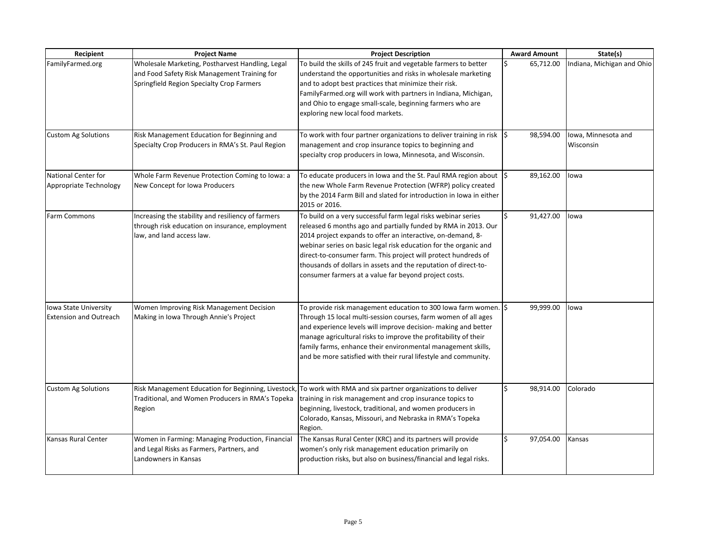| Recipient                                              | <b>Project Name</b>                                                                                                                           | <b>Project Description</b>                                                                                                                                                                                                                                                                                                                                                                                                                                       | <b>Award Amount</b> | State(s)                         |
|--------------------------------------------------------|-----------------------------------------------------------------------------------------------------------------------------------------------|------------------------------------------------------------------------------------------------------------------------------------------------------------------------------------------------------------------------------------------------------------------------------------------------------------------------------------------------------------------------------------------------------------------------------------------------------------------|---------------------|----------------------------------|
| FamilyFarmed.org                                       | Wholesale Marketing, Postharvest Handling, Legal<br>and Food Safety Risk Management Training for<br>Springfield Region Specialty Crop Farmers | To build the skills of 245 fruit and vegetable farmers to better<br>understand the opportunities and risks in wholesale marketing<br>and to adopt best practices that minimize their risk.<br>FamilyFarmed.org will work with partners in Indiana, Michigan,<br>and Ohio to engage small-scale, beginning farmers who are<br>exploring new local food markets.                                                                                                   | 65,712.00           | Indiana, Michigan and Ohio       |
| <b>Custom Ag Solutions</b>                             | Risk Management Education for Beginning and<br>Specialty Crop Producers in RMA's St. Paul Region                                              | To work with four partner organizations to deliver training in risk<br>management and crop insurance topics to beginning and<br>specialty crop producers in Iowa, Minnesota, and Wisconsin.                                                                                                                                                                                                                                                                      | l\$<br>98,594.00    | Iowa, Minnesota and<br>Wisconsin |
| National Center for<br>Appropriate Technology          | Whole Farm Revenue Protection Coming to Iowa: a<br>New Concept for Iowa Producers                                                             | To educate producers in Iowa and the St. Paul RMA region about $ \xi $<br>the new Whole Farm Revenue Protection (WFRP) policy created<br>by the 2014 Farm Bill and slated for introduction in Iowa in either<br>2015 or 2016.                                                                                                                                                                                                                                    | 89,162.00           | lowa                             |
| <b>Farm Commons</b>                                    | Increasing the stability and resiliency of farmers<br>through risk education on insurance, employment<br>law, and land access law.            | To build on a very successful farm legal risks webinar series<br>released 6 months ago and partially funded by RMA in 2013. Our<br>2014 project expands to offer an interactive, on-demand, 8-<br>webinar series on basic legal risk education for the organic and<br>direct-to-consumer farm. This project will protect hundreds of<br>thousands of dollars in assets and the reputation of direct-to-<br>consumer farmers at a value far beyond project costs. | 91,427.00           | lowa                             |
| Iowa State University<br><b>Extension and Outreach</b> | Women Improving Risk Management Decision<br>Making in Iowa Through Annie's Project                                                            | To provide risk management education to 300 lowa farm women.<br>Through 15 local multi-session courses, farm women of all ages<br>and experience levels will improve decision- making and better<br>manage agricultural risks to improve the profitability of their<br>family farms, enhance their environmental management skills,<br>and be more satisfied with their rural lifestyle and community.                                                           | 99,999.00           | lowa                             |
| <b>Custom Ag Solutions</b>                             | Traditional, and Women Producers in RMA's Topeka<br>Region                                                                                    | Risk Management Education for Beginning, Livestock, To work with RMA and six partner organizations to deliver<br>training in risk management and crop insurance topics to<br>beginning, livestock, traditional, and women producers in<br>Colorado, Kansas, Missouri, and Nebraska in RMA's Topeka<br>Region.                                                                                                                                                    | 98,914.00           | Colorado                         |
| Kansas Rural Center                                    | Women in Farming: Managing Production, Financial<br>and Legal Risks as Farmers, Partners, and<br>Landowners in Kansas                         | The Kansas Rural Center (KRC) and its partners will provide<br>women's only risk management education primarily on<br>production risks, but also on business/financial and legal risks.                                                                                                                                                                                                                                                                          | 97,054.00           | Kansas                           |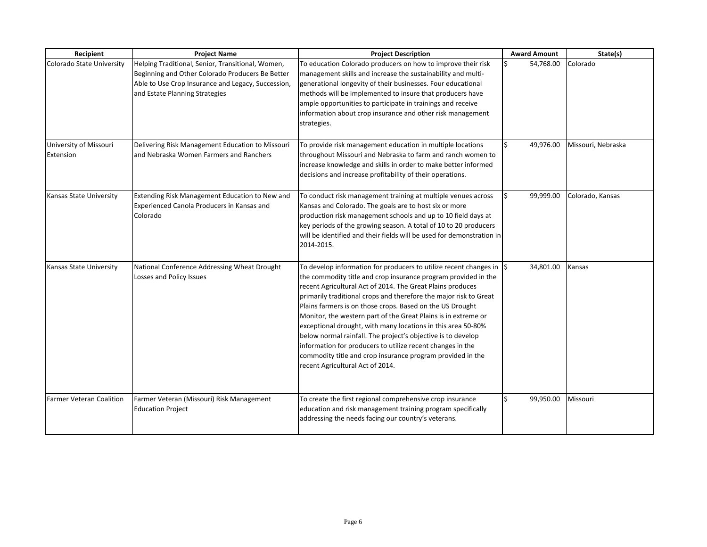| Recipient                           | <b>Project Name</b>                                                                                                                                                                           | <b>Project Description</b>                                                                                                                                                                                                                                                                                                                                                                                                                                                                                                                                                                                                                                                                                        | <b>Award Amount</b> | State(s)           |
|-------------------------------------|-----------------------------------------------------------------------------------------------------------------------------------------------------------------------------------------------|-------------------------------------------------------------------------------------------------------------------------------------------------------------------------------------------------------------------------------------------------------------------------------------------------------------------------------------------------------------------------------------------------------------------------------------------------------------------------------------------------------------------------------------------------------------------------------------------------------------------------------------------------------------------------------------------------------------------|---------------------|--------------------|
| Colorado State University           | Helping Traditional, Senior, Transitional, Women,<br>Beginning and Other Colorado Producers Be Better<br>Able to Use Crop Insurance and Legacy, Succession,<br>and Estate Planning Strategies | To education Colorado producers on how to improve their risk<br>management skills and increase the sustainability and multi-<br>generational longevity of their businesses. Four educational<br>methods will be implemented to insure that producers have<br>ample opportunities to participate in trainings and receive<br>information about crop insurance and other risk management<br>strategies.                                                                                                                                                                                                                                                                                                             | 54,768.00           | Colorado           |
| University of Missouri<br>Extension | Delivering Risk Management Education to Missouri<br>and Nebraska Women Farmers and Ranchers                                                                                                   | To provide risk management education in multiple locations<br>throughout Missouri and Nebraska to farm and ranch women to<br>increase knowledge and skills in order to make better informed<br>decisions and increase profitability of their operations.                                                                                                                                                                                                                                                                                                                                                                                                                                                          | 49,976.00           | Missouri, Nebraska |
| Kansas State University             | Extending Risk Management Education to New and<br>Experienced Canola Producers in Kansas and<br>Colorado                                                                                      | To conduct risk management training at multiple venues across<br>Kansas and Colorado. The goals are to host six or more<br>production risk management schools and up to 10 field days at<br>key periods of the growing season. A total of 10 to 20 producers<br>will be identified and their fields will be used for demonstration in<br>2014-2015.                                                                                                                                                                                                                                                                                                                                                               | 99,999.00           | Colorado, Kansas   |
| Kansas State University             | National Conference Addressing Wheat Drought<br>Losses and Policy Issues                                                                                                                      | To develop information for producers to utilize recent changes in $\ket{\xi}$<br>the commodity title and crop insurance program provided in the<br>recent Agricultural Act of 2014. The Great Plains produces<br>primarily traditional crops and therefore the major risk to Great<br>Plains farmers is on those crops. Based on the US Drought<br>Monitor, the western part of the Great Plains is in extreme or<br>exceptional drought, with many locations in this area 50-80%<br>below normal rainfall. The project's objective is to develop<br>information for producers to utilize recent changes in the<br>commodity title and crop insurance program provided in the<br>recent Agricultural Act of 2014. | 34,801.00           | Kansas             |
| <b>Farmer Veteran Coalition</b>     | Farmer Veteran (Missouri) Risk Management<br><b>Education Project</b>                                                                                                                         | To create the first regional comprehensive crop insurance<br>education and risk management training program specifically<br>addressing the needs facing our country's veterans.                                                                                                                                                                                                                                                                                                                                                                                                                                                                                                                                   | Ś<br>99,950.00      | Missouri           |